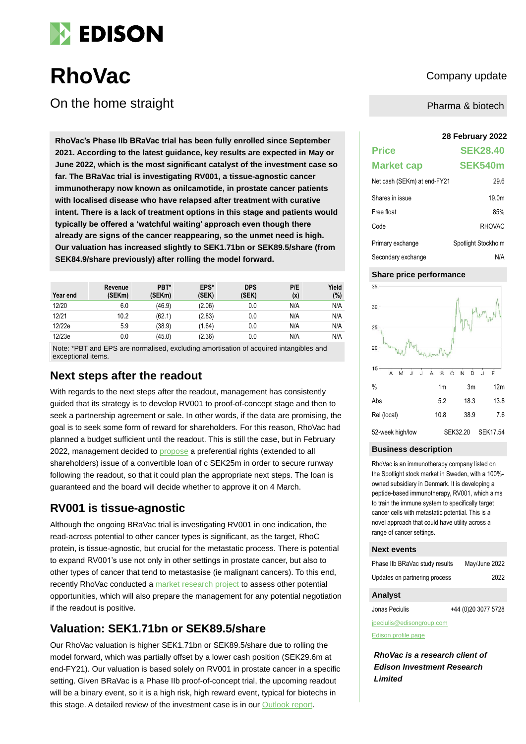

# **RhoVac** Company update

On the home straight

**28 February 2022 RhoVac's Phase IIb BRaVac trial has been fully enrolled since September 2021. According to the latest guidance, key results are expected in May or June 2022, which is the most significant catalyst of the investment case so far. The BRaVac trial is investigating RV001, a tissue-agnostic cancer immunotherapy now known as onilcamotide, in prostate cancer patients with localised disease who have relapsed after treatment with curative intent. There is a lack of treatment options in this stage and patients would typically be offered a 'watchful waiting' approach even though there already are signs of the cancer reappearing, so the unmet need is high. Our valuation has increased slightly to SEK1.71bn or SEK89.5/share (from SEK84.9/share previously) after rolling the model forward.**

| Year end | Revenue<br>(SEKm) | PBT*<br>(SEKm) | EPS*<br>(SEK) | <b>DPS</b><br>(SEK) | P/E<br>(x) | Yield<br>(%) |
|----------|-------------------|----------------|---------------|---------------------|------------|--------------|
| 12/20    | 6.0               | (46.9)         | (2.06)        | 0.0                 | N/A        | N/A          |
| 12/21    | 10.2              | (62.1)         | (2.83)        | 0.0                 | N/A        | N/A          |
| 12/22e   | 5.9               | (38.9)         | (1.64)        | 0.0                 | N/A        | N/A          |
| 12/23e   | 0.0               | (45.0)         | (2.36)        | 0.0                 | N/A        | N/A          |

Note: \*PBT and EPS are normalised, excluding amortisation of acquired intangibles and exceptional items.

### **Next steps after the readout**

With regards to the next steps after the readout, management has consistently guided that its strategy is to develop RV001 to proof-of-concept stage and then to seek a partnership agreement or sale. In other words, if the data are promising, the goal is to seek some form of reward for shareholders. For this reason, RhoVac had planned a budget sufficient until the readout. This is still the case, but in February 2022, management decided to [propose](https://www.rhovac.com/cision/37CA38179B11792E/) a preferential rights (extended to all shareholders) issue of a convertible loan of c SEK25m in order to secure runway following the readout, so that it could plan the appropriate next steps. The loan is guaranteed and the board will decide whether to approve it on 4 March.

### **RV001 is tissue-agnostic**

Although the ongoing BRaVac trial is investigating RV001 in one indication, the read-across potential to other cancer types is significant, as the target, RhoC protein, is tissue-agnostic, but crucial for the metastatic process. There is potential to expand RV001's use not only in other settings in prostate cancer, but also to other types of cancer that tend to metastasise (ie malignant cancers). To this end, recently RhoVac conducted a [market research](https://www.rhovac.com/cision/6F7C3FC450F0E92D/) project to assess other potential opportunities, which will also prepare the management for any potential negotiation if the readout is positive.

### **Valuation: SEK1.71bn or SEK89.5/share**

Our RhoVac valuation is higher SEK1.71bn or SEK89.5/share due to rolling the model forward, which was partially offset by a lower cash position (SEK29.6m at end-FY21). Our valuation is based solely on RV001 in prostate cancer in a specific setting. Given BRaVac is a Phase IIb proof-of-concept trial, the upcoming readout will be a binary event, so it is a high risk, high reward event, typical for biotechs in this stage. A detailed review of the investment case is in our [Outlook report.](https://www.edisongroup.com/publication/phase-iib-bravac-study-results-in-h122/30057/)

Pharma & biotech

| <b>Price</b>                | <b>SEK28.40</b>     |
|-----------------------------|---------------------|
| <b>Market cap</b>           | SEK540m             |
| Net cash (SEKm) at end-FY21 | 29.6                |
| Shares in issue             | 19 0m               |
| Free float                  | 85%                 |
| Code                        | <b>RHOVAC</b>       |
| Primary exchange            | Spotlight Stockholm |
| Secondary exchange          | N/A                 |

### **Share price performance**



#### **Business description**

RhoVac is an immunotherapy company listed on the Spotlight stock market in Sweden, with a 100% owned subsidiary in Denmark. It is developing a peptide-based immunotherapy, RV001, which aims to train the immune system to specifically target cancer cells with metastatic potential. This is a novel approach that could have utility across a range of cancer settings.

#### **Next events**

| Phase IIb BRaVac study results | May/June 2022 |
|--------------------------------|---------------|
| Updates on partnering process  | 2022          |

### **Analyst**

Jonas Peciulis +44 (0)20 3077 5728

jpeciulis@edisongroup.com

[Edison profile page](https://www.edisongroup.com/company/rhovac/2888/)

*RhoVac is a research client of Edison Investment Research Limited*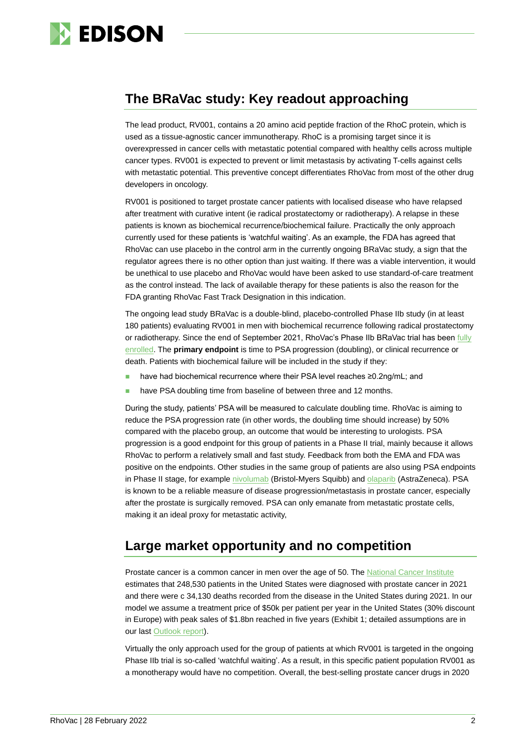

### **The BRaVac study: Key readout approaching**

The lead product, RV001, contains a 20 amino acid peptide fraction of the RhoC protein, which is used as a tissue-agnostic cancer immunotherapy. RhoC is a promising target since it is overexpressed in cancer cells with metastatic potential compared with healthy cells across multiple cancer types. RV001 is expected to prevent or limit metastasis by activating T-cells against cells with metastatic potential. This preventive concept differentiates RhoVac from most of the other drug developers in oncology.

RV001 is positioned to target prostate cancer patients with localised disease who have relapsed after treatment with curative intent (ie radical prostatectomy or radiotherapy). A relapse in these patients is known as biochemical recurrence/biochemical failure. Practically the only approach currently used for these patients is 'watchful waiting'. As an example, the FDA has agreed that RhoVac can use placebo in the control arm in the currently ongoing BRaVac study, a sign that the regulator agrees there is no other option than just waiting. If there was a viable intervention, it would be unethical to use placebo and RhoVac would have been asked to use standard-of-care treatment as the control instead. The lack of available therapy for these patients is also the reason for the FDA granting RhoVac Fast Track Designation in this indication.

The ongoing lead study BRaVac is a double-blind, placebo-controlled Phase IIb study (in at least 180 patients) evaluating RV001 in men with biochemical recurrence following radical prostatectomy or radiotherapy. Since the end of September 2021, RhoVac's Phase IIb BRaVac trial has been fully [enrolled.](https://www.rhovac.com/cision/0450B5F784A37019/) The **primary endpoint** is time to PSA progression (doubling), or clinical recurrence or death. Patients with biochemical failure will be included in the study if they:

- have had biochemical recurrence where their PSA level reaches ≥0.2ng/mL; and
- have PSA doubling time from baseline of between three and 12 months.

During the study, patients' PSA will be measured to calculate doubling time. RhoVac is aiming to reduce the PSA progression rate (in other words, the doubling time should increase) by 50% compared with the placebo group, an outcome that would be interesting to urologists. PSA progression is a good endpoint for this group of patients in a Phase II trial, mainly because it allows RhoVac to perform a relatively small and fast study. Feedback from both the EMA and FDA was positive on the endpoints. Other studies in the same group of patients are also using PSA endpoints in Phase II stage, for example [nivolumab](https://clinicaltrials.gov/ct2/show/NCT03637543?cond=Biochemically+Recurrent+Prostate+Cancer&fund=2&rank=1) (Bristol-Myers Squibb) and [olaparib](https://clinicaltrials.gov/ct2/show/NCT03047135?cond=Biochemically+Recurrent+Prostate+Cancer&fund=2&rank=2) (AstraZeneca). PSA is known to be a reliable measure of disease progression/metastasis in prostate cancer, especially after the prostate is surgically removed. PSA can only emanate from metastatic prostate cells, making it an ideal proxy for metastatic activity,

## **Large market opportunity and no competition**

Prostate cancer is a common cancer in men over the age of 50. The [National Cancer Institute](https://seer.cancer.gov/statfacts/html/prost.html) estimates that 248,530 patients in the United States were diagnosed with prostate cancer in 2021 and there were c 34,130 deaths recorded from the disease in the United States during 2021. In our model we assume a treatment price of \$50k per patient per year in the United States (30% discount in Europe) with peak sales of \$1.8bn reached in five years (Exhibit 1; detailed assumptions are in our last [Outlook report\)](https://www.edisongroup.com/publication/phase-iib-bravac-study-results-in-h122/30057/).

Virtually the only approach used for the group of patients at which RV001 is targeted in the ongoing Phase IIb trial is so-called 'watchful waiting'. As a result, in this specific patient population RV001 as a monotherapy would have no competition. Overall, the best-selling prostate cancer drugs in 2020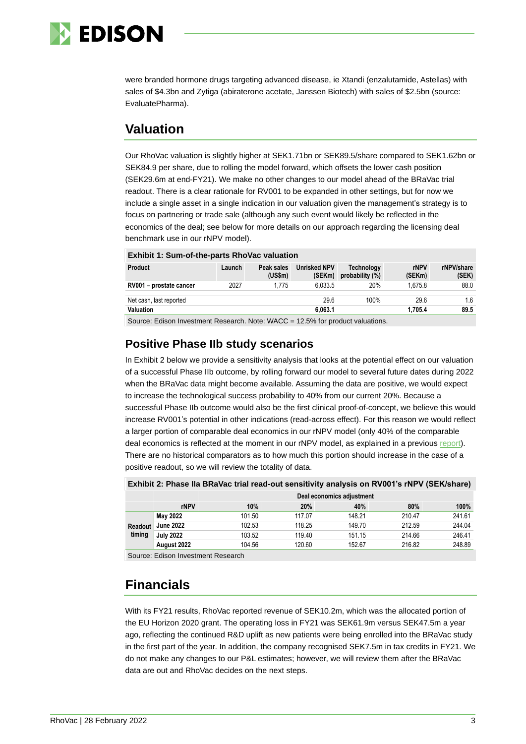

were branded hormone drugs targeting advanced disease, ie Xtandi (enzalutamide, Astellas) with sales of \$4.3bn and Zytiga (abiraterone acetate, Janssen Biotech) with sales of \$2.5bn (source: EvaluatePharma).

### **Valuation**

Our RhoVac valuation is slightly higher at SEK1.71bn or SEK89.5/share compared to SEK1.62bn or SEK84.9 per share, due to rolling the model forward, which offsets the lower cash position (SEK29.6m at end-FY21). We make no other changes to our model ahead of the BRaVac trial readout. There is a clear rationale for RV001 to be expanded in other settings, but for now we include a single asset in a single indication in our valuation given the management's strategy is to focus on partnering or trade sale (although any such event would likely be reflected in the economics of the deal; see below for more details on our approach regarding the licensing deal benchmark use in our rNPV model).

| <b>EXNIDIT 1: Sum-of-the-parts Rhovac Valuation</b> |        |                       |                               |                                         |                       |                     |  |  |
|-----------------------------------------------------|--------|-----------------------|-------------------------------|-----------------------------------------|-----------------------|---------------------|--|--|
| <b>Product</b>                                      | Launch | Peak sales<br>(US\$m) | <b>Unrisked NPV</b><br>(SEKm) | <b>Technology</b><br>probability $(\%)$ | <b>rNPV</b><br>(SEKm) | rNPV/share<br>(SEK) |  |  |
| RV001 - prostate cancer                             | 2027   | 1.775                 | 6.033.5                       | 20%                                     | 1.675.8               | 88.0                |  |  |
| Net cash, last reported                             |        |                       | 29.6                          | 100%                                    | 29.6                  | 1.6                 |  |  |
| <b>Valuation</b>                                    |        |                       | 6.063.1                       |                                         | 1.705.4               | 89.5                |  |  |
|                                                     |        |                       |                               |                                         |                       |                     |  |  |

### **Exhibit 1: Sum-of-the-parts RhoVac valuation**

Source: Edison Investment Research. Note: WACC = 12.5% for product valuations.

### **Positive Phase IIb study scenarios**

In Exhibit 2 below we provide a sensitivity analysis that looks at the potential effect on our valuation of a successful Phase IIb outcome, by rolling forward our model to several future dates during 2022 when the BRaVac data might become available. Assuming the data are positive, we would expect to increase the technological success probability to 40% from our current 20%. Because a successful Phase IIb outcome would also be the first clinical proof-of-concept, we believe this would increase RV001's potential in other indications (read-across effect). For this reason we would reflect a larger portion of comparable deal economics in our rNPV model (only 40% of the comparable deal economics is reflected at the moment in our rNPV model, as explained in a previous [report\)](https://www.edisongroup.com/publication/good-execution-in-challenging-times-for-industry/27907/). There are no historical comparators as to how much this portion should increase in the case of a positive readout, so we will review the totality of data.

|                   |                  | Deal economics adjustment |        |        |        |        |  |  |
|-------------------|------------------|---------------------------|--------|--------|--------|--------|--|--|
|                   | rNPV             | 10%                       | 20%    | 40%    | 80%    | 100%   |  |  |
| Readout<br>timing | May 2022         | 101.50                    | 117.07 | 148.21 | 210.47 | 241.61 |  |  |
|                   | <b>June 2022</b> | 102.53                    | 118.25 | 149.70 | 212.59 | 244.04 |  |  |
|                   | <b>July 2022</b> | 103.52                    | 119.40 | 151.15 | 214.66 | 246.41 |  |  |
|                   | August 2022      | 104.56                    | 120.60 | 152.67 | 216.82 | 248.89 |  |  |

Source: Edison Investment Research

## **Financials**

With its FY21 results, RhoVac reported revenue of SEK10.2m, which was the allocated portion of the EU Horizon 2020 grant. The operating loss in FY21 was SEK61.9m versus SEK47.5m a year ago, reflecting the continued R&D uplift as new patients were being enrolled into the BRaVac study in the first part of the year. In addition, the company recognised SEK7.5m in tax credits in FY21. We do not make any changes to our P&L estimates; however, we will review them after the BRaVac data are out and RhoVac decides on the next steps.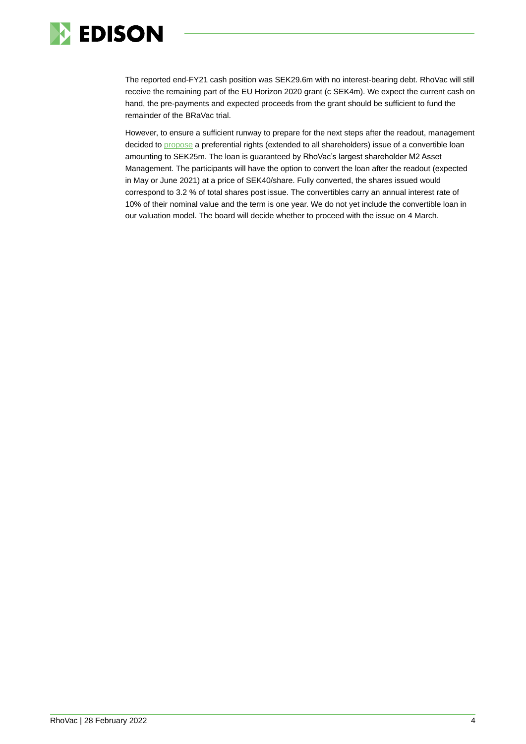

The reported end-FY21 cash position was SEK29.6m with no interest-bearing debt. RhoVac will still receive the remaining part of the EU Horizon 2020 grant (c SEK4m). We expect the current cash on hand, the pre-payments and expected proceeds from the grant should be sufficient to fund the remainder of the BRaVac trial.

However, to ensure a sufficient runway to prepare for the next steps after the readout, management decided to [propose](https://www.rhovac.com/cision/37CA38179B11792E/) a preferential rights (extended to all shareholders) issue of a convertible loan amounting to SEK25m. The loan is guaranteed by RhoVac's largest shareholder M2 Asset Management. The participants will have the option to convert the loan after the readout (expected in May or June 2021) at a price of SEK40/share. Fully converted, the shares issued would correspond to 3.2 % of total shares post issue. The convertibles carry an annual interest rate of 10% of their nominal value and the term is one year. We do not yet include the convertible loan in our valuation model. The board will decide whether to proceed with the issue on 4 March.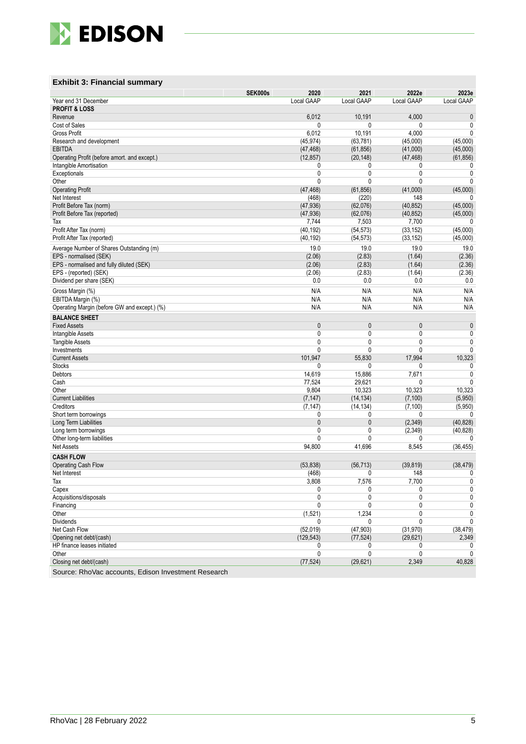

### **Exhibit 3: Financial summary**

|                                              | SEK000s | 2020         | 2021         | 2022e        | 2023e       |
|----------------------------------------------|---------|--------------|--------------|--------------|-------------|
| Year end 31 December                         |         | Local GAAP   | Local GAAP   | Local GAAP   | Local GAAP  |
| <b>PROFIT &amp; LOSS</b>                     |         |              |              |              |             |
| Revenue                                      |         | 6,012        | 10,191       | 4,000        | $\pmb{0}$   |
| Cost of Sales                                |         | 0            | 0            | 0            | 0           |
| Gross Profit                                 |         | 6,012        | 10,191       | 4,000        | 0           |
| Research and development                     |         | (45, 974)    | (63, 781)    | (45,000)     | (45,000)    |
| <b>EBITDA</b>                                |         | (47, 468)    | (61, 856)    | (41,000)     | (45,000)    |
| Operating Profit (before amort. and except.) |         | (12, 857)    | (20, 148)    | (47, 468)    | (61, 856)   |
| Intangible Amortisation                      |         | 0            | 0            | 0            | 0           |
| Exceptionals                                 |         | 0            | 0            | 0            | 0           |
| Other                                        |         | 0            | $\mathbf{0}$ | 0            | 0           |
| <b>Operating Profit</b>                      |         | (47, 468)    | (61, 856)    | (41,000)     | (45,000)    |
| Net Interest                                 |         | (468)        | (220)        | 148          | 0           |
| Profit Before Tax (norm)                     |         | (47, 936)    | (62,076)     | (40, 852)    | (45,000)    |
| Profit Before Tax (reported)                 |         | (47, 936)    | (62,076)     | (40, 852)    | (45,000)    |
| Tax                                          |         | 7,744        | 7,503        | 7,700        | 0           |
| Profit After Tax (norm)                      |         | (40, 192)    | (54, 573)    | (33, 152)    | (45,000)    |
| Profit After Tax (reported)                  |         | (40, 192)    | (54, 573)    | (33, 152)    | (45,000)    |
| Average Number of Shares Outstanding (m)     |         | 19.0         | 19.0         | 19.0         | 19.0        |
| EPS - normalised (SEK)                       |         | (2.06)       | (2.83)       | (1.64)       | (2.36)      |
| EPS - normalised and fully diluted (SEK)     |         | (2.06)       | (2.83)       | (1.64)       | (2.36)      |
| EPS - (reported) (SEK)                       |         | (2.06)       | (2.83)       | (1.64)       | (2.36)      |
| Dividend per share (SEK)                     |         | 0.0          | 0.0          | 0.0          | 0.0         |
| Gross Margin (%)                             |         | N/A          | N/A          | N/A          | N/A         |
| EBITDA Margin (%)                            |         | N/A          | N/A          | N/A          | N/A         |
| Operating Margin (before GW and except.) (%) |         | N/A          | N/A          | N/A          | N/A         |
|                                              |         |              |              |              |             |
| <b>BALANCE SHEET</b>                         |         |              |              |              |             |
| <b>Fixed Assets</b>                          |         | $\mathbf{0}$ | 0            | 0            | $\pmb{0}$   |
| Intangible Assets                            |         | 0            | 0            | 0            | 0           |
| <b>Tangible Assets</b>                       |         | 0            | 0            | 0            | 0           |
| Investments                                  |         | 0            | 0            | 0            | 0           |
| <b>Current Assets</b>                        |         | 101,947      | 55,830       | 17,994       | 10,323      |
| <b>Stocks</b>                                |         | 0            | 0            | 0            | 0           |
| Debtors                                      |         | 14,619       | 15,886       | 7,671        | 0           |
| Cash                                         |         | 77,524       | 29,621       | 0            | 0           |
| Other                                        |         | 9,804        | 10,323       | 10,323       | 10,323      |
| <b>Current Liabilities</b>                   |         | (7, 147)     | (14, 134)    | (7, 100)     | (5,950)     |
| Creditors                                    |         | (7, 147)     | (14, 134)    | (7, 100)     | (5,950)     |
| Short term borrowings                        |         | 0            | 0            | 0            | 0           |
| Long Term Liabilities                        |         | $\mathbf{0}$ | $\mathbf{0}$ | (2, 349)     | (40, 828)   |
| Long term borrowings                         |         | 0            | 0            | (2,349)      | (40, 828)   |
| Other long-term liabilities                  |         | 0            | 0            | 0            | 0           |
| <b>Net Assets</b>                            |         | 94,800       | 41,696       | 8,545        | (36, 455)   |
| <b>CASH FLOW</b>                             |         |              |              |              |             |
| <b>Operating Cash Flow</b>                   |         | (53, 838)    | (56, 713)    | (39, 819)    | (38, 479)   |
| Net Interest                                 |         | (468)        | 0            | 148          | 0           |
| $\text{Tax}$                                 |         | 3,808        | 7,576        | 7,700        | $\mathbf 0$ |
| Capex                                        |         | 0            | 0            | 0            | 0           |
| Acquisitions/disposals                       |         | 0            | 0            | 0            | $\pmb{0}$   |
| Financing                                    |         | $\mathbf{0}$ | 0            | 0            | 0           |
| Other                                        |         | (1,521)      | 1,234        | 0            | 0           |
| <b>Dividends</b>                             |         | $\mathbf{0}$ | 0            | $\mathbf{0}$ | 0           |
| Net Cash Flow                                |         | (52,019)     | (47, 903)    | (31, 970)    | (38, 479)   |
| Opening net debt/(cash)                      |         | (129, 543)   | (77, 524)    | (29, 621)    | 2,349       |
| HP finance leases initiated                  |         | 0            | 0            | 0            | 0           |
| Other                                        |         | $\pmb{0}$    | 0            | 0            | 0           |
| Closing net debt/(cash)                      |         | (77, 524)    | (29, 621)    | 2,349        | 40,828      |
|                                              |         |              |              |              |             |

Source: RhoVac accounts, Edison Investment Research